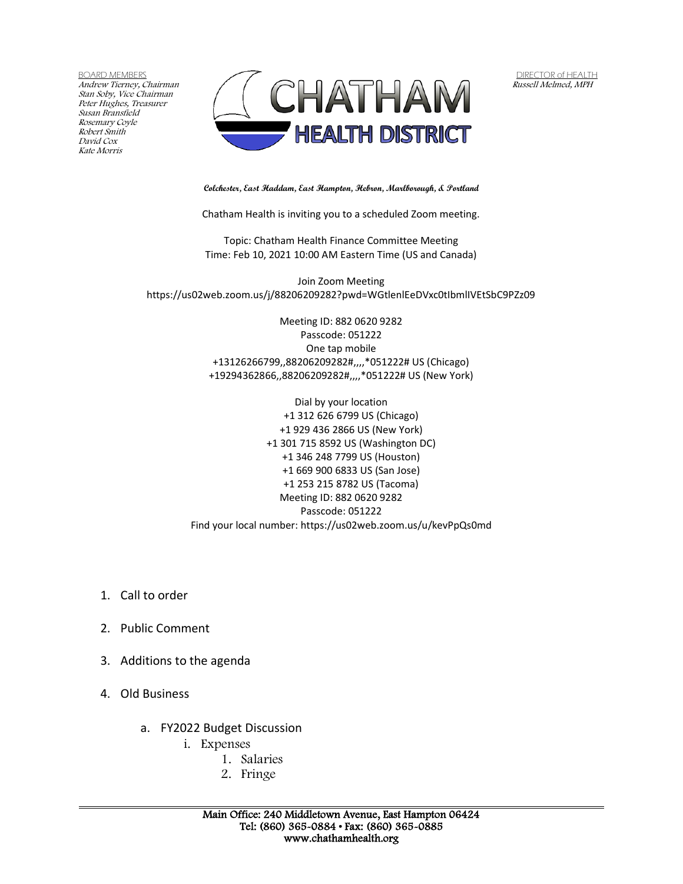BOARD MEMBERS Andrew Tierney, Chairman Stan Soby, Vice Chairman Peter Hughes, Treasurer Susan Bransfield Rosemary Coyle Robert Smith David Cox Kate Morris



DIRECTOR of HEALTH Russell Melmed, MPH

**Colchester, East Haddam, East Hampton, Hebron, Marlborough, & Portland**

Chatham Health is inviting you to a scheduled Zoom meeting.

Topic: Chatham Health Finance Committee Meeting Time: Feb 10, 2021 10:00 AM Eastern Time (US and Canada)

Join Zoom Meeting https://us02web.zoom.us/j/88206209282?pwd=WGtlenlEeDVxc0tIbmlIVEtSbC9PZz09

> Meeting ID: 882 0620 9282 Passcode: 051222 One tap mobile +13126266799,,88206209282#,,,,\*051222# US (Chicago) +19294362866,,88206209282#,,,,\*051222# US (New York)

Dial by your location +1 312 626 6799 US (Chicago) +1 929 436 2866 US (New York) +1 301 715 8592 US (Washington DC) +1 346 248 7799 US (Houston) +1 669 900 6833 US (San Jose) +1 253 215 8782 US (Tacoma) Meeting ID: 882 0620 9282 Passcode: 051222 Find your local number: https://us02web.zoom.us/u/kevPpQs0md

- 1. Call to order
- 2. Public Comment
- 3. Additions to the agenda
- 4. Old Business
	- a. FY2022 Budget Discussion
		- i. Expenses
			- 1. Salaries
			- 2. Fringe